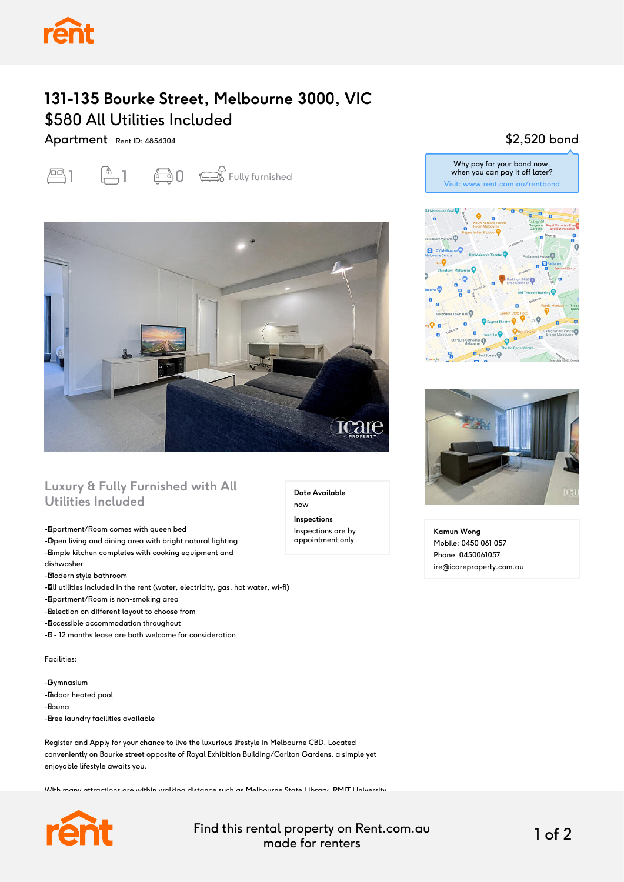

# **131-135 Bourke Street, Melbourne 3000, VIC** \$580 All Utilities Included

Apartment Rent ID: 4854304





### **Luxury & Fully Furnished with All Utilities Included**

-**Apartment/Room comes with queen bed** 

-Open living and dining area with bright natural lighting -Simple kitchen completes with cooking equipment and dishwasher

-**Modern style bathroom** 

-**All** utilities included in the rent (water, electricity, gas, hot water, wi-fi)

-**Apartment/Room is non-smoking area** 

- Selection on different layout to choose from

-**Accessible accommodation throughout** 

- $\delta$  - 12 months lease are both welcome for consideration

Facilities:

-**G**ymnasium -**Indoor heated pool** - Sauna

- Eree laundry facilities available

Register and Apply for your chance to live the luxurious lifestyle in Melbourne CBD. Located conveniently on Bourke street opposite of Royal Exhibition Building/Carlton Gardens, a simple yet enjoyable lifestyle awaits you.

With many attractions are within walking distance such as Melbourne State Library, RMIT University,



Find this rental property on Rent.com.au made for renters 1 of 2

**Date Available**

now **Inspections** Inspections are by appointment only

### \$2,520 bond

Why pay for your bond now, when you can pay it off later? Visit: www.rent.com.au/rentbond





**Kamun Wong** Mobile: 0450 061 057 Phone: 0450061057 ire@icareproperty.com.au